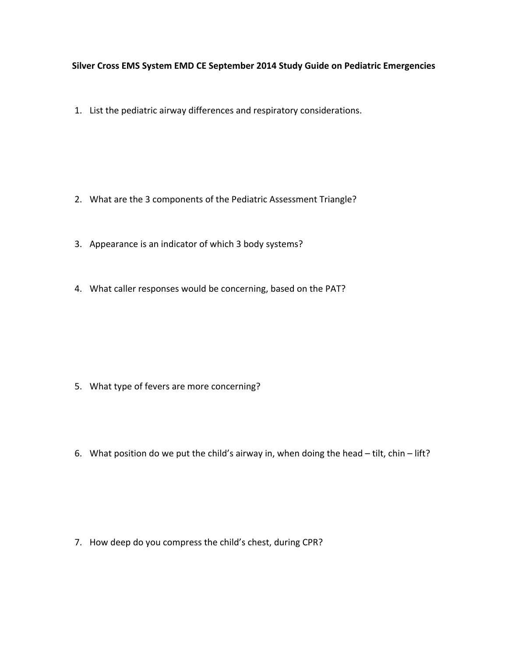## **Silver Cross EMS System EMD CE September 2014 Study Guide on Pediatric Emergencies**

1. List the pediatric airway differences and respiratory considerations.

- 2. What are the 3 components of the Pediatric Assessment Triangle?
- 3. Appearance is an indicator of which 3 body systems?
- 4. What caller responses would be concerning, based on the PAT?

- 5. What type of fevers are more concerning?
- 6. What position do we put the child's airway in, when doing the head tilt, chin lift?

7. How deep do you compress the child's chest, during CPR?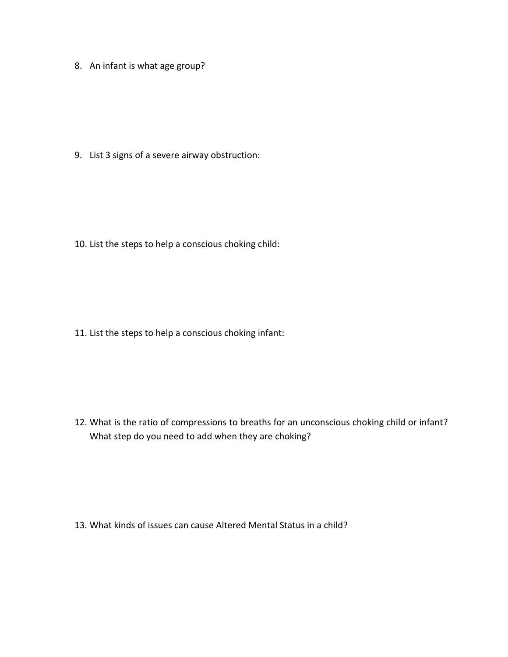8. An infant is what age group?

9. List 3 signs of a severe airway obstruction:

10. List the steps to help a conscious choking child:

11. List the steps to help a conscious choking infant:

12. What is the ratio of compressions to breaths for an unconscious choking child or infant? What step do you need to add when they are choking?

13. What kinds of issues can cause Altered Mental Status in a child?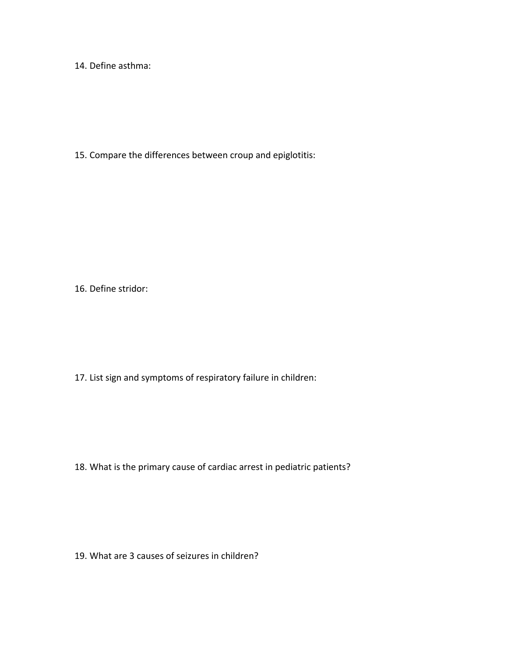14. Define asthma:

15. Compare the differences between croup and epiglotitis:

16. Define stridor:

17. List sign and symptoms of respiratory failure in children:

18. What is the primary cause of cardiac arrest in pediatric patients?

19. What are 3 causes of seizures in children?